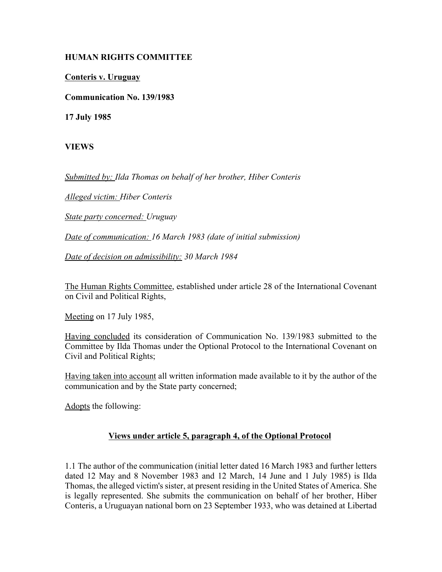## **HUMAN RIGHTS COMMITTEE**

**Conteris v. Uruguay**

**Communication No. 139/1983**

**17 July 1985**

**VIEWS**

*Submitted by: Ilda Thomas on behalf of her brother, Hiber Conteris* 

*Alleged victim: Hiber Conteris* 

*State party concerned: Uruguay* 

*Date of communication: 16 March 1983 (date of initial submission)* 

*Date of decision on admissibility: 30 March 1984* 

The Human Rights Committee, established under article 28 of the International Covenant on Civil and Political Rights,

Meeting on 17 July 1985,

Having concluded its consideration of Communication No. 139/1983 submitted to the Committee by Ilda Thomas under the Optional Protocol to the International Covenant on Civil and Political Rights;

Having taken into account all written information made available to it by the author of the communication and by the State party concerned;

Adopts the following:

## **Views under article 5, paragraph 4, of the Optional Protocol**

1.1 The author of the communication (initial letter dated 16 March 1983 and further letters dated 12 May and 8 November 1983 and 12 March, 14 June and 1 July 1985) is Ilda Thomas, the alleged victim's sister, at present residing in the United States of America. She is legally represented. She submits the communication on behalf of her brother, Hiber Conteris, a Uruguayan national born on 23 September 1933, who was detained at Libertad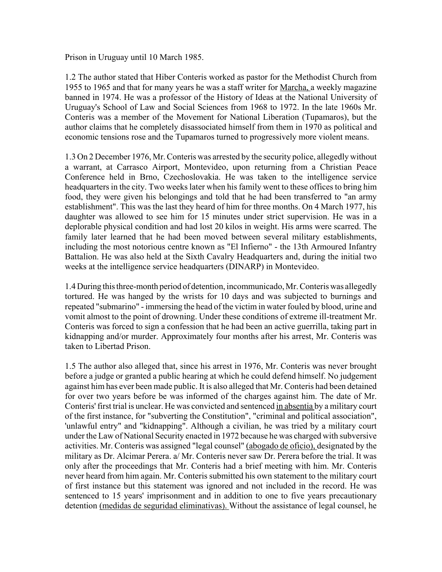Prison in Uruguay until 10 March 1985.

1.2 The author stated that Hiber Conteris worked as pastor for the Methodist Church from 1955 to 1965 and that for many years he was a staff writer for Marcha, a weekly magazine banned in 1974. He was a professor of the History of Ideas at the National University of Uruguay's School of Law and Social Sciences from 1968 to 1972. In the late 1960s Mr. Conteris was a member of the Movement for National Liberation (Tupamaros), but the author claims that he completely disassociated himself from them in 1970 as political and economic tensions rose and the Tupamaros turned to progressively more violent means.

1.3 On 2 December 1976, Mr. Conteris was arrested by the security police, allegedly without a warrant, at Carrasco Airport, Montevideo, upon returning from a Christian Peace Conference held in Brno, Czechoslovakia. He was taken to the intelligence service headquarters in the city. Two weeks later when his family went to these offices to bring him food, they were given his belongings and told that he had been transferred to "an army establishment". This was the last they heard of him for three months. On 4 March 1977, his daughter was allowed to see him for 15 minutes under strict supervision. He was in a deplorable physical condition and had lost 20 kilos in weight. His arms were scarred. The family later learned that he had been moved between several military establishments, including the most notorious centre known as "El Infierno" - the 13th Armoured Infantry Battalion. He was also held at the Sixth Cavalry Headquarters and, during the initial two weeks at the intelligence service headquarters (DINARP) in Montevideo.

1.4 During this three-month period of detention, incommunicado, Mr. Conteris was allegedly tortured. He was hanged by the wrists for 10 days and was subjected to burnings and repeated "submarino" - immersing the head of the victim in water fouled by blood, urine and vomit almost to the point of drowning. Under these conditions of extreme ill-treatment Mr. Conteris was forced to sign a confession that he had been an active guerrilla, taking part in kidnapping and/or murder. Approximately four months after his arrest, Mr. Conteris was taken to Libertad Prison.

1.5 The author also alleged that, since his arrest in 1976, Mr. Conteris was never brought before a judge or granted a public hearing at which he could defend himself. No judgement against him has ever been made public. It is also alleged that Mr. Conteris had been detained for over two years before be was informed of the charges against him. The date of Mr. Conteris' first trial is unclear. He was convicted and sentenced in absentia by a military court of the first instance, for "subverting the Constitution", "criminal and political association", 'unlawful entry" and "kidnapping". Although a civilian, he was tried by a military court under the Law of National Security enacted in 1972 because he was charged with subversive activities. Mr. Conteris was assigned "legal counsel" (abogado de oficio), designated by the military as Dr. Alcimar Perera. a/ Mr. Conteris never saw Dr. Perera before the trial. It was only after the proceedings that Mr. Conteris had a brief meeting with him. Mr. Conteris never heard from him again. Mr. Conteris submitted his own statement to the military court of first instance but this statement was ignored and not included in the record. He was sentenced to 15 years' imprisonment and in addition to one to five years precautionary detention (medidas de seguridad eliminativas). Without the assistance of legal counsel, he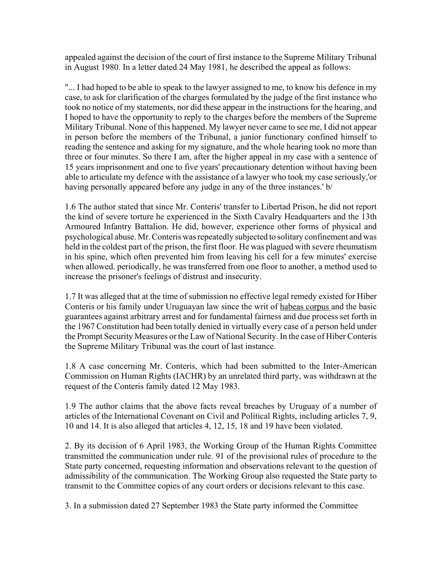appealed against the decision of the court of first instance to the Supreme Military Tribunal in August 1980. In a letter dated 24 May 1981, he described the appeal as follows:

"... I had hoped to be able to speak to the lawyer assigned to me, to know his defence in my case, to ask for clarification of the charges formulated by the judge of the first instance who took no notice of my statements, nor did these appear in the instructions for the hearing, and I hoped to have the opportunity to reply to the charges before the members of the Supreme Military Tribunal. None of this happened. My lawyer never came to see me, I did not appear in person before the members of the Tribunal, a junior functionary confined himself to reading the sentence and asking for my signature, and the whole hearing took no more than three or four minutes. So there I am, after the higher appeal in my case with a sentence of 15 years imprisonment and one to five years' precautionary detention without having been able to articulate my defence with the assistance of a lawyer who took my case seriously,'or having personally appeared before any judge in any of the three instances.' b/

1.6 The author stated that since Mr. Conteris' transfer to Libertad Prison, he did not report the kind of severe torture he experienced in the Sixth Cavalry Headquarters and the 13th Armoured Infantry Battalion. He did, however, experience other forms of physical and psychological abuse. Mr. Conteris was repeatedly subjected to solitary confinement and was held in the coldest part of the prison, the first floor. He was plagued with severe rheumatism in his spine, which often prevented him from leaving his cell for a few minutes' exercise when allowed. periodically, he was transferred from one floor to another, a method used to increase the prisoner's feelings of distrust and insecurity.

1.7 It was alleged that at the time of submission no effective legal remedy existed for Hiber Conteris or his family under Uruguayan law since the writ of habeas corpus and the basic guarantees against arbitrary arrest and for fundamental fairness and due process set forth in the 1967 Constitution had been totally denied in virtually every case of a person held under the Prompt Security Measures or the Law of National Security. In the case of Hiber Conteris the Supreme Military Tribunal was the court of last instance.

1.8 A case concerning Mr. Conteris, which had been submitted to the Inter-American Commission on Human Rights (IACHR) by an unrelated third party, was withdrawn at the request of the Conteris family dated 12 May 1983.

1.9 The author claims that the above facts reveal breaches by Uruguay of a number of articles of the International Covenant on Civil and Political Rights, including articles 7, 9, 10 and 14. It is also alleged that articles 4, 12, 15, 18 and 19 have been violated.

2. By its decision of 6 April 1983, the Working Group of the Human Rights Committee transmitted the communication under rule. 91 of the provisional rules of procedure to the State party concerned, requesting information and observations relevant to the question of admissibility of the communication. The Working Group also requested the State party to transmit to the Committee copies of any court orders or decisions relevant to this case.

3. In a submission dated 27 September 1983 the State party informed the Committee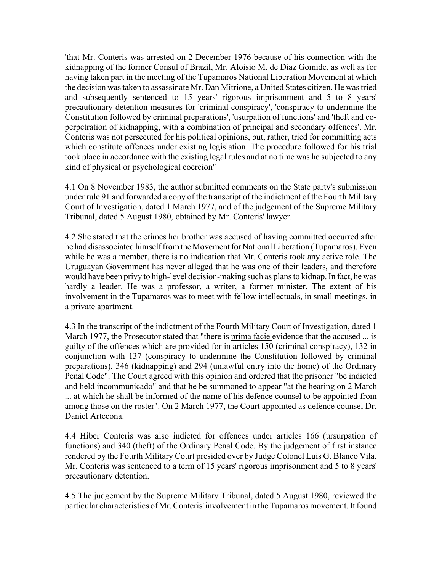'that Mr. Conteris was arrested on 2 December 1976 because of his connection with the kidnapping of the former Consul of Brazil, Mr. Aloisio M. de Diaz Gomide, as well as for having taken part in the meeting of the Tupamaros National Liberation Movement at which the decision was taken to assassinate Mr. Dan Mitrione, a United States citizen. He was tried and subsequently sentenced to 15 years' rigorous imprisonment and 5 to 8 years' precautionary detention measures for 'criminal conspiracy', 'conspiracy to undermine the Constitution followed by criminal preparations', 'usurpation of functions' and 'theft and coperpetration of kidnapping, with a combination of principal and secondary offences'. Mr. Conteris was not persecuted for his political opinions, but, rather, tried for committing acts which constitute offences under existing legislation. The procedure followed for his trial took place in accordance with the existing legal rules and at no time was he subjected to any kind of physical or psychological coercion"

4.1 On 8 November 1983, the author submitted comments on the State party's submission under rule 91 and forwarded a copy of the transcript of the indictment of the Fourth Military Court of Investigation, dated 1 March 1977, and of the judgement of the Supreme Military Tribunal, dated 5 August 1980, obtained by Mr. Conteris' lawyer.

4.2 She stated that the crimes her brother was accused of having committed occurred after he had disassociated himself from the Movement for National Liberation (Tupamaros). Even while he was a member, there is no indication that Mr. Conteris took any active role. The Uruguayan Government has never alleged that he was one of their leaders, and therefore would have been privy to high-level decision-making such as plans to kidnap. In fact, he was hardly a leader. He was a professor, a writer, a former minister. The extent of his involvement in the Tupamaros was to meet with fellow intellectuals, in small meetings, in a private apartment.

4.3 In the transcript of the indictment of the Fourth Military Court of Investigation, dated 1 March 1977, the Prosecutor stated that "there is prima facie evidence that the accused ... is guilty of the offences which are provided for in articles 150 (criminal conspiracy), 132 in conjunction with 137 (conspiracy to undermine the Constitution followed by criminal preparations), 346 (kidnapping) and 294 (unlawful entry into the home) of the Ordinary Penal Code". The Court agreed with this opinion and ordered that the prisoner "be indicted and held incommunicado" and that he be summoned to appear "at the hearing on 2 March ... at which he shall be informed of the name of his defence counsel to be appointed from among those on the roster". On 2 March 1977, the Court appointed as defence counsel Dr. Daniel Artecona.

4.4 Hiber Conteris was also indicted for offences under articles 166 (ursurpation of functions) and 340 (theft) of the Ordinary Penal Code. By the judgement of first instance rendered by the Fourth Military Court presided over by Judge Colonel Luis G. Blanco Vila, Mr. Conteris was sentenced to a term of 15 years' rigorous imprisonment and 5 to 8 years' precautionary detention.

4.5 The judgement by the Supreme Military Tribunal, dated 5 August 1980, reviewed the particular characteristics of Mr. Conteris' involvement in the Tupamaros movement. It found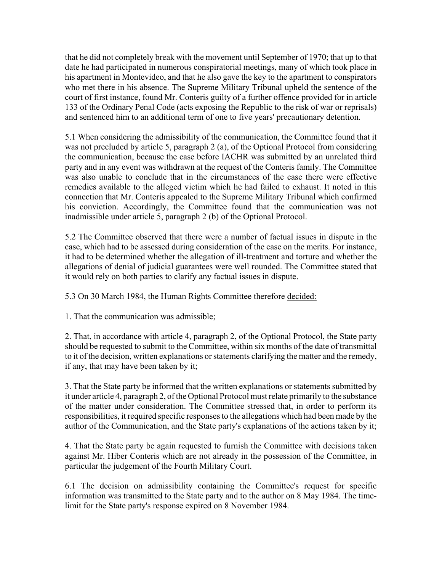that he did not completely break with the movement until September of 1970; that up to that date he had participated in numerous conspiratorial meetings, many of which took place in his apartment in Montevideo, and that he also gave the key to the apartment to conspirators who met there in his absence. The Supreme Military Tribunal upheld the sentence of the court of first instance, found Mr. Conteris guilty of a further offence provided for in article 133 of the Ordinary Penal Code (acts exposing the Republic to the risk of war or reprisals) and sentenced him to an additional term of one to five years' precautionary detention.

5.1 When considering the admissibility of the communication, the Committee found that it was not precluded by article 5, paragraph 2 (a), of the Optional Protocol from considering the communication, because the case before IACHR was submitted by an unrelated third party and in any event was withdrawn at the request of the Conteris family. The Committee was also unable to conclude that in the circumstances of the case there were effective remedies available to the alleged victim which he had failed to exhaust. It noted in this connection that Mr. Conteris appealed to the Supreme Military Tribunal which confirmed his conviction. Accordingly, the Committee found that the communication was not inadmissible under article 5, paragraph 2 (b) of the Optional Protocol.

5.2 The Committee observed that there were a number of factual issues in dispute in the case, which had to be assessed during consideration of the case on the merits. For instance, it had to be determined whether the allegation of ill-treatment and torture and whether the allegations of denial of judicial guarantees were well rounded. The Committee stated that it would rely on both parties to clarify any factual issues in dispute.

5.3 On 30 March 1984, the Human Rights Committee therefore decided:

1. That the communication was admissible;

2. That, in accordance with article 4, paragraph 2, of the Optional Protocol, the State party should be requested to submit to the Committee, within six months of the date of transmittal to it of the decision, written explanations or statements clarifying the matter and the remedy, if any, that may have been taken by it;

3. That the State party be informed that the written explanations or statements submitted by it under article 4, paragraph 2, of the Optional Protocol must relate primarily to the substance of the matter under consideration. The Committee stressed that, in order to perform its responsibilities, it required specific responses to the allegations which had been made by the author of the Communication, and the State party's explanations of the actions taken by it;

4. That the State party be again requested to furnish the Committee with decisions taken against Mr. Hiber Conteris which are not already in the possession of the Committee, in particular the judgement of the Fourth Military Court.

6.1 The decision on admissibility containing the Committee's request for specific information was transmitted to the State party and to the author on 8 May 1984. The timelimit for the State party's response expired on 8 November 1984.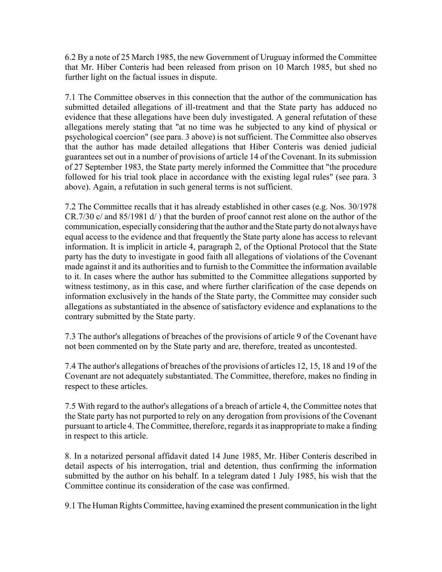6.2 By a note of 25 March 1985, the new Government of Uruguay informed the Committee that Mr. Hiber Conteris had been released from prison on 10 March 1985, but shed no further light on the factual issues in dispute.

7.1 The Committee observes in this connection that the author of the communication has submitted detailed allegations of ill-treatment and that the State party has adduced no evidence that these allegations have been duly investigated. A general refutation of these allegations merely stating that "at no time was he subjected to any kind of physical or psychological coercion" (see para. 3 above) is not sufficient. The Committee also observes that the author has made detailed allegations that Hiber Conteris was denied judicial guarantees set out in a number of provisions of article 14 of the Covenant. In its submission of 27 September 1983, the State party merely informed the Committee that "the procedure followed for his trial took place in accordance with the existing legal rules" (see para. 3 above). Again, a refutation in such general terms is not sufficient.

7.2 The Committee recalls that it has already established in other cases (e.g. Nos. 30/1978 CR.7/30 c/ and 85/1981 d/ ) that the burden of proof cannot rest alone on the author of the communication, especially considering that the author and the State party do not always have equal access to the evidence and that frequently the State party alone has access to relevant information. It is implicit in article 4, paragraph 2, of the Optional Protocol that the State party has the duty to investigate in good faith all allegations of violations of the Covenant made against it and its authorities and to furnish to the Committee the information available to it. In cases where the author has submitted to the Committee allegations supported by witness testimony, as in this case, and where further clarification of the case depends on information exclusively in the hands of the State party, the Committee may consider such allegations as substantiated in the absence of satisfactory evidence and explanations to the contrary submitted by the State party.

7.3 The author's allegations of breaches of the provisions of article 9 of the Covenant have not been commented on by the State party and are, therefore, treated as uncontested.

7.4 The author's allegations of breaches of the provisions of articles 12, 15, 18 and 19 of the Covenant are not adequately substantiated. The Committee, therefore, makes no finding in respect to these articles.

7.5 With regard to the author's allegations of a breach of article 4, the Committee notes that the State party has not purported to rely on any derogation from provisions of the Covenant pursuant to article 4. The Committee, therefore, regards it as inappropriate to make a finding in respect to this article.

8. In a notarized personal affidavit dated 14 June 1985, Mr. Hiber Conteris described in detail aspects of his interrogation, trial and detention, thus confirming the information submitted by the author on his behalf. In a telegram dated 1 July 1985, his wish that the Committee continue its consideration of the case was confirmed.

9.1 The Human Rights Committee, having examined the present communication in the light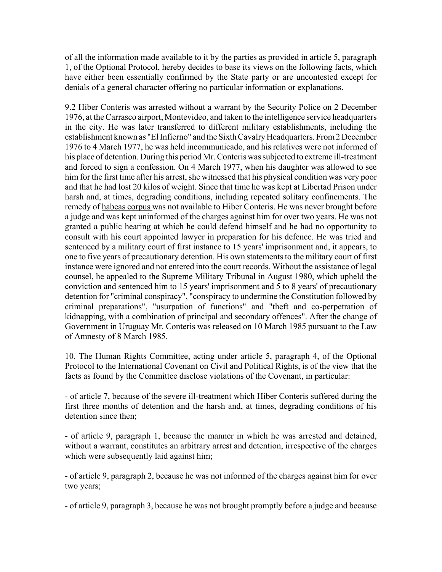of all the information made available to it by the parties as provided in article 5, paragraph 1, of the Optional Protocol, hereby decides to base its views on the following facts, which have either been essentially confirmed by the State party or are uncontested except for denials of a general character offering no particular information or explanations.

9.2 Hiber Conteris was arrested without a warrant by the Security Police on 2 December 1976, at the Carrasco airport, Montevideo, and taken to the intelligence service headquarters in the city. He was later transferred to different military establishments, including the establishment known as "El Infierno" and the Sixth Cavalry Headquarters. From 2 December 1976 to 4 March 1977, he was held incommunicado, and his relatives were not informed of his place of detention. During this period Mr. Conteris was subjected to extreme ill-treatment and forced to sign a confession. On 4 March 1977, when his daughter was allowed to see him for the first time after his arrest, she witnessed that his physical condition was very poor and that he had lost 20 kilos of weight. Since that time he was kept at Libertad Prison under harsh and, at times, degrading conditions, including repeated solitary confinements. The remedy of habeas corpus was not available to Hiber Conteris. He was never brought before a judge and was kept uninformed of the charges against him for over two years. He was not granted a public hearing at which he could defend himself and he had no opportunity to consult with his court appointed lawyer in preparation for his defence. He was tried and sentenced by a military court of first instance to 15 years' imprisonment and, it appears, to one to five years of precautionary detention. His own statements to the military court of first instance were ignored and not entered into the court records. Without the assistance of legal counsel, he appealed to the Supreme Military Tribunal in August 1980, which upheld the conviction and sentenced him to 15 years' imprisonment and 5 to 8 years' of precautionary detention for "criminal conspiracy", "conspiracy to undermine the Constitution followed by criminal preparations", "usurpation of functions" and "theft and co-perpetration of kidnapping, with a combination of principal and secondary offences". After the change of Government in Uruguay Mr. Conteris was released on 10 March 1985 pursuant to the Law of Amnesty of 8 March 1985.

10. The Human Rights Committee, acting under article 5, paragraph 4, of the Optional Protocol to the International Covenant on Civil and Political Rights, is of the view that the facts as found by the Committee disclose violations of the Covenant, in particular:

- of article 7, because of the severe ill-treatment which Hiber Conteris suffered during the first three months of detention and the harsh and, at times, degrading conditions of his detention since then;

- of article 9, paragraph 1, because the manner in which he was arrested and detained, without a warrant, constitutes an arbitrary arrest and detention, irrespective of the charges which were subsequently laid against him;

- of article 9, paragraph 2, because he was not informed of the charges against him for over two years;

- of article 9, paragraph 3, because he was not brought promptly before a judge and because